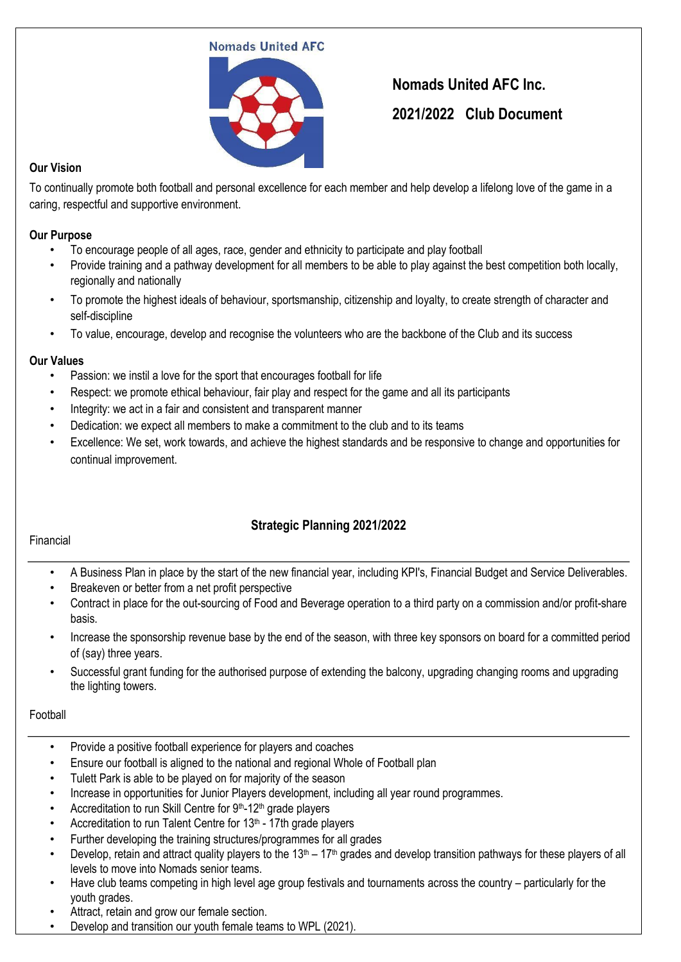#### **Nomads United AFC**



# **Nomads United AFC Inc. 2021/2022 Club Document**

## **Our Vision**

To continually promote both football and personal excellence for each member and help develop a lifelong love of the game in a caring, respectful and supportive environment.

#### **Our Purpose**

- To encourage people of all ages, race, gender and ethnicity to participate and play football
- Provide training and a pathway development for all members to be able to play against the best competition both locally, regionally and nationally
- To promote the highest ideals of behaviour, sportsmanship, citizenship and loyalty, to create strength of character and self-discipline
- To value, encourage, develop and recognise the volunteers who are the backbone of the Club and its success

#### **Our Values**

- Passion: we instil a love for the sport that encourages football for life
- Respect: we promote ethical behaviour, fair play and respect for the game and all its participants
- Integrity: we act in a fair and consistent and transparent manner
- Dedication: we expect all members to make a commitment to the club and to its teams
- Excellence: We set, work towards, and achieve the highest standards and be responsive to change and opportunities for continual improvement.

# **Strategic Planning 2021/2022**

#### Financial

- A Business Plan in place by the start of the new financial year, including KPI's, Financial Budget and Service Deliverables.
- Breakeven or better from a net profit perspective
- Contract in place for the out-sourcing of Food and Beverage operation to a third party on a commission and/or profit-share basis.
- Increase the sponsorship revenue base by the end of the season, with three key sponsors on board for a committed period of (say) three years.
- Successful grant funding for the authorised purpose of extending the balcony, upgrading changing rooms and upgrading the lighting towers.

## Football

- Provide a positive football experience for players and coaches
- Ensure our football is aligned to the national and regional Whole of Football plan
- Tulett Park is able to be played on for majority of the season
- Increase in opportunities for Junior Players development, including all year round programmes.
- Accreditation to run Skill Centre for 9<sup>th</sup>-12<sup>th</sup> grade players
- Accreditation to run Talent Centre for  $13<sup>th</sup>$  17th grade players
- Further developing the training structures/programmes for all grades
- Develop, retain and attract quality players to the  $13<sup>th</sup> 17<sup>th</sup>$  grades and develop transition pathways for these players of all levels to move into Nomads senior teams.
- Have club teams competing in high level age group festivals and tournaments across the country particularly for the youth grades.
- Attract, retain and grow our female section.
- Develop and transition our youth female teams to WPL (2021).